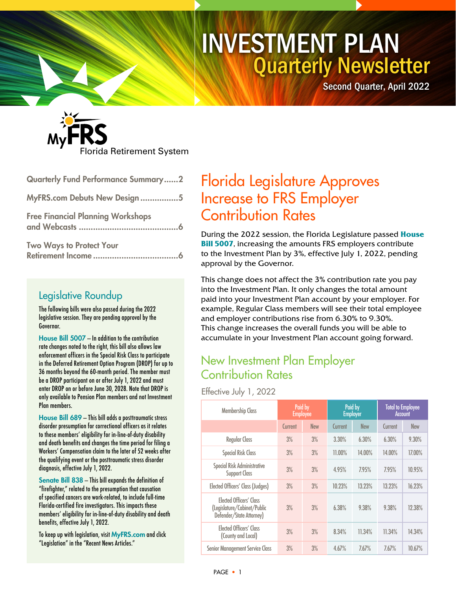# Quarterly Newsletter INVESTMENT PLAN

Second Quarter, April 2022



| Quarterly Fund Performance Summary2      |
|------------------------------------------|
| MyFRS.com Debuts New Design5             |
| <b>Free Financial Planning Workshops</b> |
| <b>Two Ways to Protect Your</b>          |

### Legislative Roundup

The following bills were also passed during the 2022 legislative session. They are pending approval by the Governor.

[House Bill 5007](https://www.myfloridahouse.gov/Sections/Bills/billsdetail.aspx?BillId=76663&SessionId=93) — In addition to the contribution rate changes noted to the right, this bill also allows law enforcement officers in the Special Risk Class to participate in the Deferred Retirement Option Program (DROP) for up to 36 months beyond the 60-month period. The member must be a DROP participant on or after July 1, 2022 and must enter DROP on or before June 30, 2028. Note that DROP is only available to Pension Plan members and not Investment Plan members.

[House Bill 689](https://www.myfloridahouse.gov/Sections/Bills/billsdetail.aspx?BillId=74821&SessionId=93) — This bill adds a posttraumatic stress disorder presumption for correctional officers as it relates to these members' eligibility for in-line-of-duty disability and death benefits and changes the time period for filing a Workers' Compensation claim to the later of 52 weeks after the qualifying event or the posttraumatic stress disorder diagnosis, effective July 1, 2022.

[Senate Bill 838](https://www.flsenate.gov/Session/Bill/2022/838/?Tab=BillHistory) — This bill expands the definition of "firefighter," related to the presumption that causation of specified cancers are work-related, to include full-time Florida-certified fire investigators. This impacts these members' eligibility for in-line-of-duty disability and death benefits, effective July 1, 2022.

To keep up with legislation, visit [MyFRS.com](http://www.myfrs.com/) and click "Legislation" in the "Recent News Articles."

# Florida Legislature Approves Increase to FRS Employer Contribution Rates

During the 2022 session, the Florida Legislature passed **[House](https://www.myfloridahouse.gov/Sections/Bills/billsdetail.aspx?BillId=76663&SessionId=93)  [Bill 5007](https://www.myfloridahouse.gov/Sections/Bills/billsdetail.aspx?BillId=76663&SessionId=93)**, increasing the amounts FRS employers contribute to the Investment Plan by 3%, effective July 1, 2022, pending approval by the Governor.

This change does not affect the 3% contribution rate you pay into the Investment Plan. It only changes the total amount paid into your Investment Plan account by your employer. For example, Regular Class members will see their total employee and employer contributions rise from 6.30% to 9.30%. This change increases the overall funds you will be able to accumulate in your Investment Plan account going forward.

### New Investment Plan Employer Contribution Rates

Effective July 1, 2022

| <b>Membership Class</b>                                                                   | Paid by<br><b>Employee</b> |            | Paid by<br><b>Employer</b> |            | <b>Total to Employee</b><br><b>Account</b> |            |
|-------------------------------------------------------------------------------------------|----------------------------|------------|----------------------------|------------|--------------------------------------------|------------|
|                                                                                           | Current                    | <b>New</b> | Current                    | <b>New</b> | Current                                    | <b>New</b> |
| <b>Regular Class</b>                                                                      | 3%                         | 3%         | 3.30%                      | 6.30%      | 6.30%                                      | 9.30%      |
| <b>Special Risk Class</b>                                                                 | 3%                         | 3%         | 11.00%                     | 14.00%     | 14.00%                                     | 17.00%     |
| Special Risk Administrative<br><b>Support Class</b>                                       | 3%                         | 3%         | 4.95%                      | 7.95%      | 7.95%                                      | 10.95%     |
| Elected Officers' Class (Judges)                                                          | 3%                         | 3%         | 10.23%                     | 13.23%     | 13.23%                                     | 16.23%     |
| <b>Flected Officers' Class</b><br>(Legislature/Cabinet/Public<br>Defender/State Attorney) | 3%                         | 3%         | 6.38%                      | 9.38%      | 9.38%                                      | 12.38%     |
| <b>Flected Officers' Class</b><br>(County and Local)                                      | 3%                         | 3%         | 8.34%                      | 11.34%     | 11.34%                                     | 14.34%     |
| <b>Senior Management Service Class</b>                                                    | 3%                         | 3%         | 4.67%                      | 7.67%      | 7.67%                                      | 10.67%     |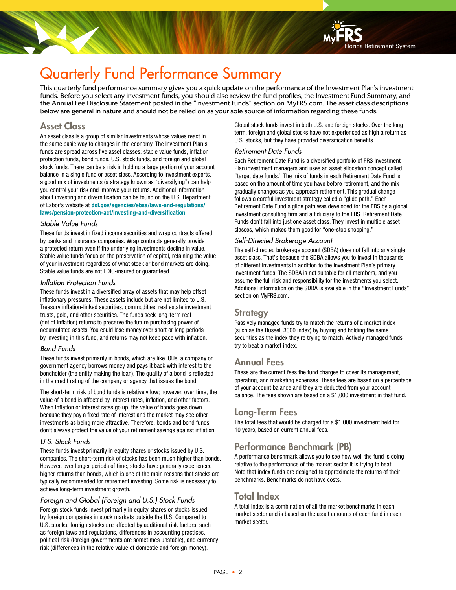

# Quarterly Fund Performance Summary

This quarterly fund performance summary gives you a quick update on the performance of the Investment Plan's investment funds. Before you select any investment funds, you should also review the fund profiles, the Investment Fund Summary, and the Annual Fee Disclosure Statement posted in the "Investment Funds" section on MyFRS.com. The asset class descriptions below are general in nature and should not be relied on as your sole source of information regarding these funds.

### Asset Class

An asset class is a group of similar investments whose values react in the same basic way to changes in the economy. The Investment Plan's funds are spread across five asset classes: stable value funds, inflation protection funds, bond funds, U.S. stock funds, and foreign and global stock funds. There can be a risk in holding a large portion of your account balance in a single fund or asset class. According to investment experts, a good mix of investments (a strategy known as "diversifying") can help you control your risk and improve your returns. Additional information about investing and diversification can be found on the U.S. Department of Labor's website at **[dol.gov/agencies/ebsa/laws-and-regulations/](https://www.dol.gov/agencies/ebsa/laws-and-regulations/laws/pension-protection-act/investing-and-diversification) [laws/pension-protection-act/investing-and-diversification](https://www.dol.gov/agencies/ebsa/laws-and-regulations/laws/pension-protection-act/investing-and-diversification)**.

#### Stable Value Funds

These funds invest in fixed income securities and wrap contracts offered by banks and insurance companies. Wrap contracts generally provide a protected return even if the underlying investments decline in value. Stable value funds focus on the preservation of capital, retaining the value of your investment regardless of what stock or bond markets are doing. Stable value funds are not FDIC-insured or guaranteed.

#### Inflation Protection Funds

These funds invest in a diversified array of assets that may help offset inflationary pressures. These assets include but are not limited to U.S. Treasury inflation-linked securities, commodities, real estate investment trusts, gold, and other securities. The funds seek long-term real (net of inflation) returns to preserve the future purchasing power of accumulated assets. You could lose money over short or long periods by investing in this fund, and returns may not keep pace with inflation.

#### Bond Funds

These funds invest primarily in bonds, which are like IOUs: a company or government agency borrows money and pays it back with interest to the bondholder (the entity making the loan). The quality of a bond is reflected in the credit rating of the company or agency that issues the bond.

The short-term risk of bond funds is relatively low; however, over time, the value of a bond is affected by interest rates, inflation, and other factors. When inflation or interest rates go up, the value of bonds goes down because they pay a fixed rate of interest and the market may see other investments as being more attractive. Therefore, bonds and bond funds don't always protect the value of your retirement savings against inflation.

#### U.S. Stock Funds

These funds invest primarily in equity shares or stocks issued by U.S. companies. The short-term risk of stocks has been much higher than bonds. However, over longer periods of time, stocks have generally experienced higher returns than bonds, which is one of the main reasons that stocks are typically recommended for retirement investing. Some risk is necessary to achieve long-term investment growth.

#### Foreign and Global (Foreign and U.S.) Stock Funds

Foreign stock funds invest primarily in equity shares or stocks issued by foreign companies in stock markets outside the U.S. Compared to U.S. stocks, foreign stocks are affected by additional risk factors, such as foreign laws and regulations, differences in accounting practices, political risk (foreign governments are sometimes unstable), and currency risk (differences in the relative value of domestic and foreign money).

Global stock funds invest in both U.S. and foreign stocks. Over the long term, foreign and global stocks have not experienced as high a return as U.S. stocks, but they have provided diversification benefits.

#### Retirement Date Funds

Each Retirement Date Fund is a diversified portfolio of FRS Investment Plan investment managers and uses an asset allocation concept called "target date funds." The mix of funds in each Retirement Date Fund is based on the amount of time you have before retirement, and the mix gradually changes as you approach retirement. This gradual change follows a careful investment strategy called a "glide path." Each Retirement Date Fund's glide path was developed for the FRS by a global investment consulting firm and a fiduciary to the FRS. Retirement Date Funds don't fall into just one asset class. They invest in multiple asset classes, which makes them good for "one-stop shopping."

#### Self-Directed Brokerage Account

The self-directed brokerage account (SDBA) does not fall into any single asset class. That's because the SDBA allows you to invest in thousands of different investments in addition to the Investment Plan's primary investment funds. The SDBA is not suitable for all members, and you assume the full risk and responsibility for the investments you select. Additional information on the SDBA is available in the "Investment Funds" section on MyFRS.com.

#### **Strategy**

Passively managed funds try to match the returns of a market index (such as the Russell 3000 index) by buying and holding the same securities as the index they're trying to match. Actively managed funds try to beat a market index.

### Annual Fees

These are the current fees the fund charges to cover its management, operating, and marketing expenses. These fees are based on a percentage of your account balance and they are deducted from your account balance. The fees shown are based on a \$1,000 investment in that fund.

#### Long-Term Fees

The total fees that would be charged for a \$1,000 investment held for 10 years, based on current annual fees.

### Performance Benchmark (PB)

A performance benchmark allows you to see how well the fund is doing relative to the performance of the market sector it is trying to beat. Note that index funds are designed to approximate the returns of their benchmarks. Benchmarks do not have costs.

### Total Index

A total index is a combination of all the market benchmarks in each market sector and is based on the asset amounts of each fund in each market sector.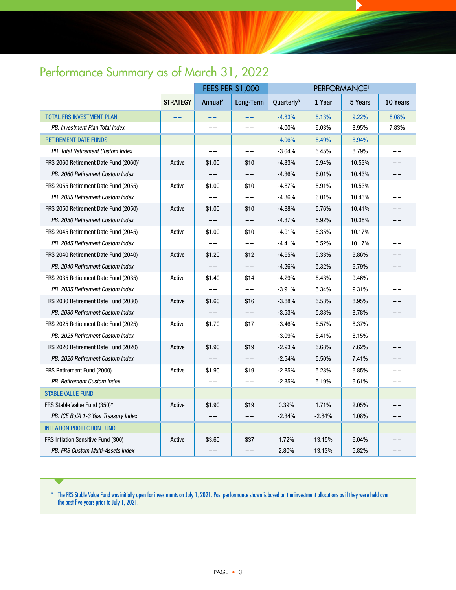# Performance Summary as of March 31, 2022

|                                                   |                 | <b>FEES PER \$1,000</b> |           | PERFORMANCE <sup>1</sup> |          |         |          |
|---------------------------------------------------|-----------------|-------------------------|-----------|--------------------------|----------|---------|----------|
|                                                   | <b>STRATEGY</b> | Annual <sup>2</sup>     | Long-Term | Quarterly <sup>3</sup>   | 1 Year   | 5 Years | 10 Years |
| <b>TOTAL FRS INVESTMENT PLAN</b>                  |                 |                         |           | $-4.83%$                 | 5.13%    | 9.22%   | 8.08%    |
| PB: Investment Plan Total Index                   |                 | $-1$                    | $-1$      | $-4.00%$                 | 6.03%    | 8.95%   | 7.83%    |
| <b>RETIREMENT DATE FUNDS</b>                      |                 |                         | --        | $-4.06%$                 | 5.49%    | 8.94%   | --       |
| PB: Total Retirement Custom Index                 |                 |                         |           | $-3.64%$                 | 5.45%    | 8.79%   | $ -$     |
| FRS 2060 Retirement Date Fund (2060) <sup>4</sup> | Active          | \$1.00                  | \$10      | $-4.83%$                 | 5.94%    | 10.53%  | $ -$     |
| PB: 2060 Retirement Custom Index                  |                 |                         | $- -$     | $-4.36%$                 | 6.01%    | 10.43%  | $ -$     |
| FRS 2055 Retirement Date Fund (2055)              | Active          | \$1.00                  | \$10      | $-4.87%$                 | 5.91%    | 10.53%  | --       |
| PB: 2055 Retirement Custom Index                  |                 |                         | $ -$      | $-4.36%$                 | 6.01%    | 10.43%  | $ -$     |
| FRS 2050 Retirement Date Fund (2050)              | Active          | \$1.00                  | \$10      | $-4.88%$                 | 5.76%    | 10.41%  | $ -$     |
| PB: 2050 Retirement Custom Index                  |                 |                         | $- -$     | $-4.37%$                 | 5.92%    | 10.38%  | $ -$     |
| FRS 2045 Retirement Date Fund (2045)              | Active          | \$1.00                  | \$10      | $-4.91%$                 | 5.35%    | 10.17%  | $-$      |
| PB: 2045 Retirement Custom Index                  |                 |                         | $- -$     | $-4.41%$                 | 5.52%    | 10.17%  | --       |
| FRS 2040 Retirement Date Fund (2040)              | Active          | \$1.20                  | \$12      | $-4.65%$                 | 5.33%    | 9.86%   | $ -$     |
| PB: 2040 Retirement Custom Index                  |                 |                         |           | $-4.26%$                 | 5.32%    | 9.79%   |          |
| FRS 2035 Retirement Date Fund (2035)              | Active          | \$1.40                  | \$14      | $-4.29%$                 | 5.43%    | 9.46%   | $ -$     |
| PB: 2035 Retirement Custom Index                  |                 |                         | $- -$     | $-3.91%$                 | 5.34%    | 9.31%   | $ -$     |
| FRS 2030 Retirement Date Fund (2030)              | Active          | \$1.60                  | \$16      | $-3.88%$                 | 5.53%    | 8.95%   |          |
| PB: 2030 Retirement Custom Index                  |                 |                         | $- -$     | $-3.53%$                 | 5.38%    | 8.78%   | $ -$     |
| FRS 2025 Retirement Date Fund (2025)              | Active          | \$1.70                  | \$17      | $-3.46%$                 | 5.57%    | 8.37%   | $ -$     |
| PB: 2025 Retirement Custom Index                  |                 |                         | $- -$     | $-3.09%$                 | 5.41%    | 8.15%   | $ -$     |
| FRS 2020 Retirement Date Fund (2020)              | Active          | \$1.90                  | \$19      | $-2.93%$                 | 5.68%    | 7.62%   | $ -$     |
| PB: 2020 Retirement Custom Index                  |                 |                         | $- -$     | $-2.54%$                 | 5.50%    | 7.41%   | ——       |
| FRS Retirement Fund (2000)                        | Active          | \$1.90                  | \$19      | $-2.85%$                 | 5.28%    | 6.85%   | $ -$     |
| PB: Retirement Custom Index                       |                 |                         |           | $-2.35%$                 | 5.19%    | 6.61%   |          |
| <b>STABLE VALUE FUND</b>                          |                 |                         |           |                          |          |         |          |
| FRS Stable Value Fund (350)*                      | Active          | \$1.90                  | \$19      | 0.39%                    | 1.71%    | 2.05%   | $ -$     |
| PB: ICE BofA 1-3 Year Treasury Index              |                 |                         |           | $-2.34%$                 | $-2.84%$ | 1.08%   | --       |
| <b>INFLATION PROTECTION FUND</b>                  |                 |                         |           |                          |          |         |          |
| FRS Inflation Sensitive Fund (300)                | Active          | \$3.60                  | \$37      | 1.72%                    | 13.15%   | 6.04%   |          |
| PB: FRS Custom Multi-Assets Index                 |                 | $-1$                    | $- -$     | 2.80%                    | 13.13%   | 5.82%   | --       |

 $^\ast$  The FRS Stable Value Fund was initially open for investments on July 1, 2021. Past performance shown is based on the investment allocations as if they were held over the past five years prior to July 1, 2021.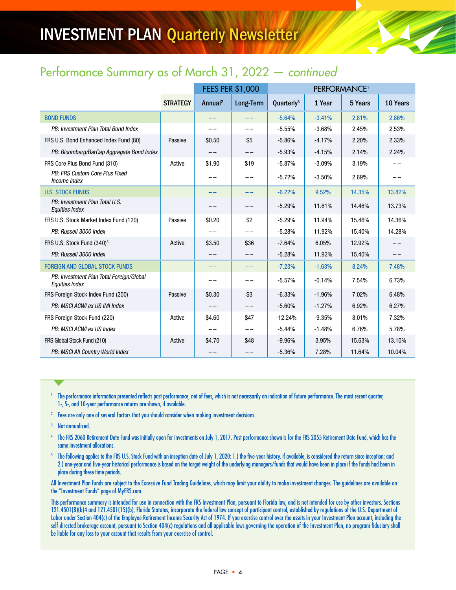# INVESTMENT PLAN Quarterly Newsletter

## Performance Summary as of March 31, 2022 — continued

|                                                                   |                 | FEES PER \$1,000    |           | PERFORMANCE <sup>1</sup> |          |         |          |
|-------------------------------------------------------------------|-----------------|---------------------|-----------|--------------------------|----------|---------|----------|
|                                                                   | <b>STRATEGY</b> | Annual <sup>2</sup> | Long-Term | Quarterly <sup>3</sup>   | 1 Year   | 5 Years | 10 Years |
| <b>BOND FUNDS</b>                                                 |                 | $- -$               | $- -$     | $-5.64%$                 | $-3.41%$ | 2.81%   | 2.86%    |
| PB: Investment Plan Total Bond Index                              |                 | --                  | --        | $-5.55%$                 | $-3.68%$ | 2.45%   | 2.53%    |
| FRS U.S. Bond Enhanced Index Fund (80)                            | Passive         | \$0.50              | \$5       | $-5.86%$                 | $-4.17%$ | 2.20%   | 2.33%    |
| PB: Bloomberg/BarCap Aggregate Bond Index                         |                 |                     |           | $-5.93%$                 | $-4.15%$ | 2.14%   | 2.24%    |
| FRS Core Plus Bond Fund (310)                                     | Active          | \$1.90              | \$19      | $-5.87%$                 | $-3.09%$ | 3.19%   |          |
| PB: FRS Custom Core Plus Fixed<br>Income Index                    |                 | --                  | --        | $-5.72%$                 | $-3.50%$ | 2.69%   | --       |
| <b>U.S. STOCK FUNDS</b>                                           |                 |                     | --        | $-6.22%$                 | 9.52%    | 14.35%  | 13.82%   |
| PB: Investment Plan Total U.S.<br><b>Equities Index</b>           |                 |                     | --        | $-5.29%$                 | 11.61%   | 14.46%  | 13.73%   |
| FRS U.S. Stock Market Index Fund (120)                            | Passive         | \$0.20              | \$2       | $-5.29%$                 | 11.94%   | 15.46%  | 14.36%   |
| PB: Russell 3000 Index                                            |                 | $ -$                | ——        | $-5.28%$                 | 11.92%   | 15.40%  | 14.28%   |
| FRS U.S. Stock Fund (340) <sup>5</sup>                            | Active          | \$3.50              | \$36      | $-7.64%$                 | 6.05%    | 12.92%  | --       |
| PB: Russell 3000 Index                                            |                 | $ -$                | $- -$     | $-5.28%$                 | 11.92%   | 15.40%  | $- -$    |
| <b>FOREIGN AND GLOBAL STOCK FUNDS</b>                             |                 |                     | --        | $-7.23%$                 | $-1.63%$ | 8.24%   | 7.48%    |
| PB: Investment Plan Total Foreign/Global<br><b>Equities Index</b> |                 |                     | --        | $-5.57%$                 | $-0.14%$ | 7.54%   | 6.73%    |
| FRS Foreign Stock Index Fund (200)                                | Passive         | \$0.30              | \$3       | $-6.33%$                 | $-1.96%$ | 7.02%   | 6.48%    |
| PB: MSCI ACWI ex US IMI Index                                     |                 | $- -$               | $- -$     | $-5.60%$                 | $-1.27%$ | 6.92%   | 6.27%    |
| FRS Foreign Stock Fund (220)                                      | Active          | \$4.60              | \$47      | $-12.24%$                | $-9.35%$ | 8.01%   | 7.32%    |
| PB: MSCI ACWI ex US Index                                         |                 | --                  | $- -$     | $-5.44%$                 | $-1.48%$ | 6.76%   | 5.78%    |
| FRS Global Stock Fund (210)                                       | Active          | \$4.70              | \$48      | $-9.96%$                 | 3.95%    | 15.63%  | 13.10%   |
| PB: MSCI All Country World Index                                  |                 |                     |           | $-5.36%$                 | 7.28%    | 11.64%  | 10.04%   |

<sup>1</sup> The performance information presented reflects past performance, net of fees, which is not necessarily an indication of future performance. The most recent quarter, 1-, 5-, and 10-year performance returns are shown, if available.

- <sup>2</sup> Fees are only one of several factors that you should consider when making investment decisions.
- <sup>3</sup> Not annualized.
- <sup>4</sup> The FRS 2060 Retirement Date Fund was initially open for investments on July 1, 2017. Past performance shown is for the FRS 2055 Retirement Date Fund, which has the same investment allocations.
- <sup>5</sup> The following applies to the FRS U.S. Stock Fund with an inception date of July 1, 2020: 1.) the five-year history, if available, is considered the return since inception; and 2.) one-year and five-year historical performance is based on the target weight of the underlying managers/funds that would have been in place if the funds had been in place during these time periods.

All Investment Plan funds are subject to the Excessive Fund Trading Guidelines, which may limit your ability to make investment changes. The guidelines are available on the "Investment Funds" page of MyFRS.com.

This performance summary is intended for use in connection with the FRS Investment Plan, pursuant to Florida law, and is not intended for use by other investors. Sections 121.4501(8)(b)4 and 121.4501(15)(b), Florida Statutes, incorporate the federal law concept of participant control, established by regulations of the U.S. Department of Labor under Section 404(c) of the Employee Retirement Income Security Act of 1974. If you exercise control over the assets in your Investment Plan account, including the self-directed brokerage account, pursuant to Section 404(c) regulations and all applicable laws governing the operation of the Investment Plan, no program fiduciary shall be liable for any loss to your account that results from your exercise of control.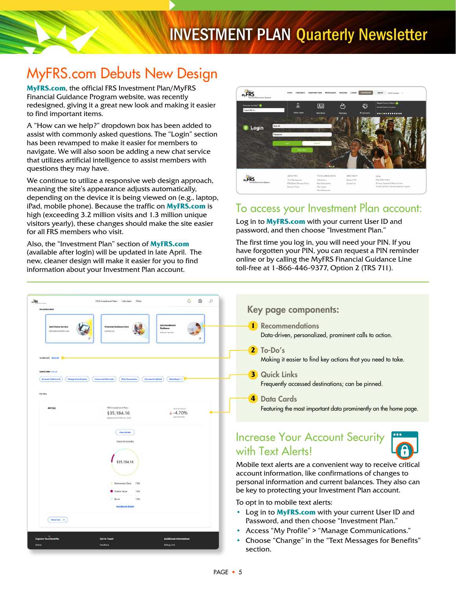# MyFRS.com Debuts New Design

**[MyFRS.com](http://myfrs.com/)**, the official FRS Investment Plan/MyFRS Financial Guidance Program website, was recently redesigned, giving it a great new look and making it easier to find important items.

A "How can we help?" dropdown box has been added to assist with commonly asked questions. The "Login" section has been revamped to make it easier for members to navigate. We will also soon be adding a new chat service that utilizes artificial intelligence to assist members with questions they may have.

We continue to utilize a responsive web design approach, meaning the site's appearance adjusts automatically, depending on the device it is being viewed on (e.g., laptop, iPad, mobile phone). Because the traffic on **[MyFRS.com](http://myfrs.com/)** is high (exceeding 3.2 million visits and 1.3 million unique visitors yearly), these changes should make the site easier for all FRS members who visit.

Also, the "Investment Plan" section of **[MyFRS.com](http://myfrs.com/)** (available after login) will be updated in late April. The new, cleaner design will make it easier for you to find information about your Investment Plan account.



### To access your Investment Plan account:

Log in to **[MyFRS.com](http://myfrs.com/)** with your current User ID and password, and then choose "Investment Plan."

The first time you log in, you will need your PIN. If you have forgotten your PIN, you can request a PIN reminder online or by calling the MyFRS Financial Guidance Line toll-free at 1-866-446-9377, Option 2 (TRS 711).



### Key page components:

Data-driven, personalized, prominent calls to action.

- Making it easier to find key actions that you need to take.
- Frequently accessed destinations; can be pinned.
- Featuring the most important data prominently on the home page.

# Increase Your Account Security



Mobile text alerts are a convenient way to receive critical account information, like confirmations of changes to personal information and current balances. They also can be key to protecting your Investment Plan account.

To opt in to mobile text alerts:

- Log in to **[MyFRS.com](http://myfrs.com/)** with your current User ID and Password, and then choose "Investment Plan."
- Access "My Profile" > "Manage Communications."
- Choose "Change" in the "Text Messages for Benefits"